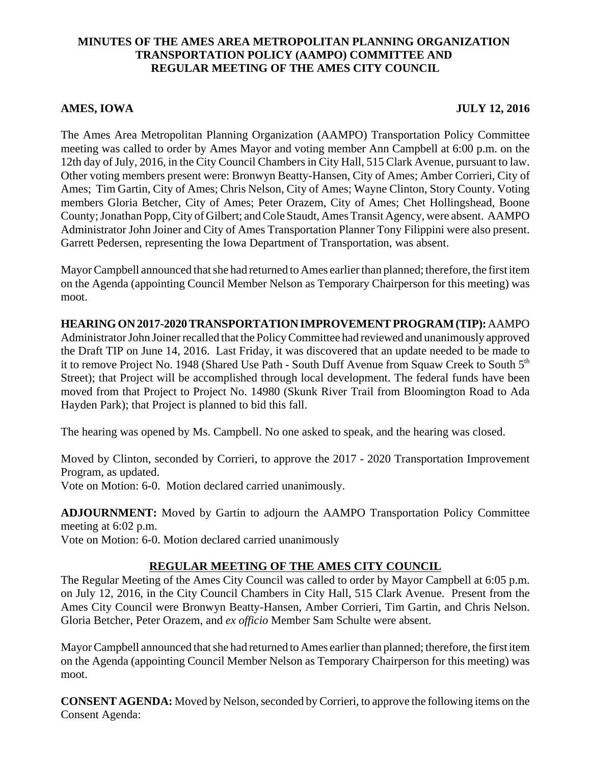## **MINUTES OF THE AMES AREA METROPOLITAN PLANNING ORGANIZATION TRANSPORTATION POLICY (AAMPO) COMMITTEE AND REGULAR MEETING OF THE AMES CITY COUNCIL**

## **AMES, IOWA JULY 12, 2016**

The Ames Area Metropolitan Planning Organization (AAMPO) Transportation Policy Committee meeting was called to order by Ames Mayor and voting member Ann Campbell at 6:00 p.m. on the 12th day of July, 2016, in the City Council Chambers in City Hall, 515 Clark Avenue, pursuant to law. Other voting members present were: Bronwyn Beatty-Hansen, City of Ames; Amber Corrieri, City of Ames; Tim Gartin, City of Ames; Chris Nelson, City of Ames; Wayne Clinton, Story County. Voting members Gloria Betcher, City of Ames; Peter Orazem, City of Ames; Chet Hollingshead, Boone County; Jonathan Popp, City of Gilbert; and Cole Staudt, Ames Transit Agency, were absent. AAMPO Administrator John Joiner and City of Ames Transportation Planner Tony Filippini were also present. Garrett Pedersen, representing the Iowa Department of Transportation, was absent.

Mayor Campbell announced that she had returned to Ames earlier than planned; therefore, the first item on the Agenda (appointing Council Member Nelson as Temporary Chairperson for this meeting) was moot.

**HEARING ON 2017-2020 TRANSPORTATION IMPROVEMENT PROGRAM (TIP):** AAMPO Administrator John Joiner recalled that the Policy Committee had reviewed and unanimously approved the Draft TIP on June 14, 2016. Last Friday, it was discovered that an update needed to be made to it to remove Project No. 1948 (Shared Use Path - South Duff Avenue from Squaw Creek to South  $5<sup>th</sup>$ Street); that Project will be accomplished through local development. The federal funds have been moved from that Project to Project No. 14980 (Skunk River Trail from Bloomington Road to Ada Hayden Park); that Project is planned to bid this fall.

The hearing was opened by Ms. Campbell. No one asked to speak, and the hearing was closed.

Moved by Clinton, seconded by Corrieri, to approve the 2017 - 2020 Transportation Improvement Program, as updated.

Vote on Motion: 6-0. Motion declared carried unanimously.

**ADJOURNMENT:** Moved by Gartin to adjourn the AAMPO Transportation Policy Committee meeting at 6:02 p.m.

Vote on Motion: 6-0. Motion declared carried unanimously

## **REGULAR MEETING OF THE AMES CITY COUNCIL**

The Regular Meeting of the Ames City Council was called to order by Mayor Campbell at 6:05 p.m. on July 12, 2016, in the City Council Chambers in City Hall, 515 Clark Avenue. Present from the Ames City Council were Bronwyn Beatty-Hansen, Amber Corrieri, Tim Gartin, and Chris Nelson. Gloria Betcher, Peter Orazem, and *ex officio* Member Sam Schulte were absent.

Mayor Campbell announced that she had returned to Ames earlier than planned; therefore, the first item on the Agenda (appointing Council Member Nelson as Temporary Chairperson for this meeting) was moot.

**CONSENT AGENDA:** Moved by Nelson, seconded by Corrieri, to approve the following items on the Consent Agenda: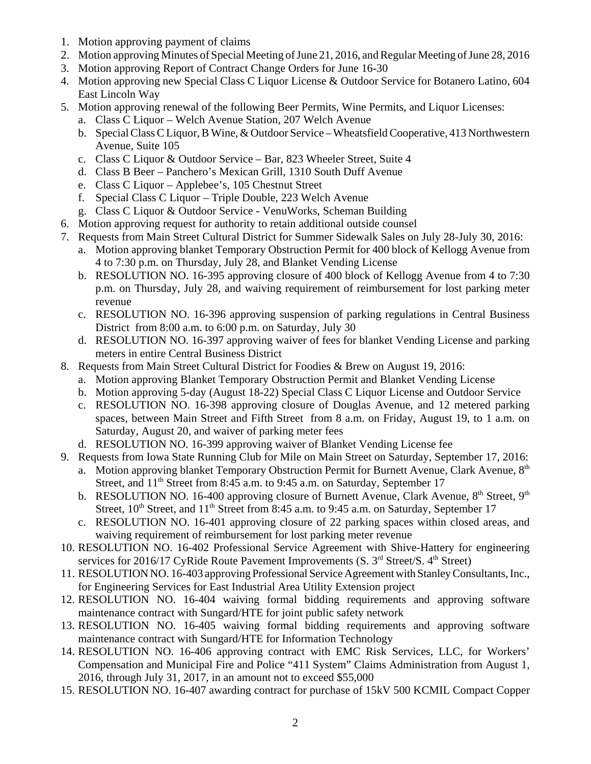- 1. Motion approving payment of claims
- 2. Motion approving Minutes of Special Meeting of June 21, 2016, and Regular Meeting of June 28, 2016
- 3. Motion approving Report of Contract Change Orders for June 16-30
- 4. Motion approving new Special Class C Liquor License & Outdoor Service for Botanero Latino, 604 East Lincoln Way
- 5. Motion approving renewal of the following Beer Permits, Wine Permits, and Liquor Licenses:
	- a. Class C Liquor Welch Avenue Station, 207 Welch Avenue
	- b. Special Class C Liquor, B Wine, & Outdoor Service Wheatsfield Cooperative, 413 Northwestern Avenue, Suite 105
	- c. Class C Liquor & Outdoor Service Bar, 823 Wheeler Street, Suite 4
	- d. Class B Beer Panchero's Mexican Grill, 1310 South Duff Avenue
	- e. Class C Liquor Applebee's, 105 Chestnut Street
	- f. Special Class C Liquor Triple Double, 223 Welch Avenue
	- g. Class C Liquor & Outdoor Service VenuWorks, Scheman Building
- 6. Motion approving request for authority to retain additional outside counsel
- 7. Requests from Main Street Cultural District for Summer Sidewalk Sales on July 28-July 30, 2016:
	- a. Motion approving blanket Temporary Obstruction Permit for 400 block of Kellogg Avenue from 4 to 7:30 p.m. on Thursday, July 28, and Blanket Vending License
	- b. RESOLUTION NO. 16-395 approving closure of 400 block of Kellogg Avenue from 4 to 7:30 p.m. on Thursday, July 28, and waiving requirement of reimbursement for lost parking meter revenue
	- c. RESOLUTION NO. 16-396 approving suspension of parking regulations in Central Business District from 8:00 a.m. to 6:00 p.m. on Saturday, July 30
	- d. RESOLUTION NO. 16-397 approving waiver of fees for blanket Vending License and parking meters in entire Central Business District
- 8. Requests from Main Street Cultural District for Foodies & Brew on August 19, 2016:
	- a. Motion approving Blanket Temporary Obstruction Permit and Blanket Vending License
	- b. Motion approving 5-day (August 18-22) Special Class C Liquor License and Outdoor Service
	- c. RESOLUTION NO. 16-398 approving closure of Douglas Avenue, and 12 metered parking spaces, between Main Street and Fifth Street from 8 a.m. on Friday, August 19, to 1 a.m. on Saturday, August 20, and waiver of parking meter fees
	- d. RESOLUTION NO. 16-399 approving waiver of Blanket Vending License fee
- 9. Requests from Iowa State Running Club for Mile on Main Street on Saturday, September 17, 2016:
	- a. Motion approving blanket Temporary Obstruction Permit for Burnett Avenue, Clark Avenue, 8<sup>th</sup> Street, and  $11<sup>th</sup>$  Street from 8:45 a.m. to 9:45 a.m. on Saturday, September 17
	- b. RESOLUTION NO. 16-400 approving closure of Burnett Avenue, Clark Avenue, 8<sup>th</sup> Street, 9<sup>th</sup> Street,  $10^{th}$  Street, and  $11^{th}$  Street from 8:45 a.m. to 9:45 a.m. on Saturday, September 17
	- c. RESOLUTION NO. 16-401 approving closure of 22 parking spaces within closed areas, and waiving requirement of reimbursement for lost parking meter revenue
- 10. RESOLUTION NO. 16-402 Professional Service Agreement with Shive-Hattery for engineering services for 2016/17 CyRide Route Pavement Improvements  $(S. 3<sup>rd</sup> Street/S. 4<sup>th</sup> Street)$
- 11. RESOLUTION NO. 16-403 approving Professional Service Agreement with Stanley Consultants, Inc., for Engineering Services for East Industrial Area Utility Extension project
- 12. RESOLUTION NO. 16-404 waiving formal bidding requirements and approving software maintenance contract with Sungard/HTE for joint public safety network
- 13. RESOLUTION NO. 16-405 waiving formal bidding requirements and approving software maintenance contract with Sungard/HTE for Information Technology
- 14. RESOLUTION NO. 16-406 approving contract with EMC Risk Services, LLC, for Workers' Compensation and Municipal Fire and Police "411 System" Claims Administration from August 1, 2016, through July 31, 2017, in an amount not to exceed \$55,000
- 15. RESOLUTION NO. 16-407 awarding contract for purchase of 15kV 500 KCMIL Compact Copper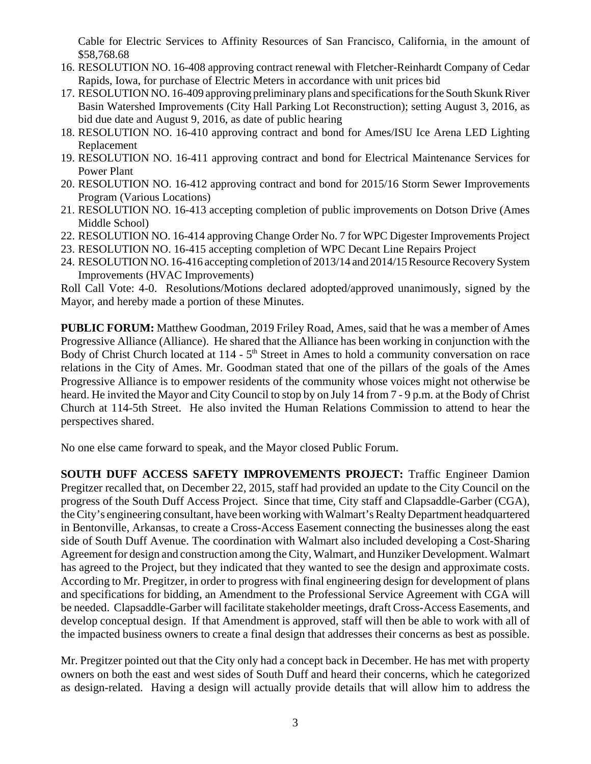Cable for Electric Services to Affinity Resources of San Francisco, California, in the amount of \$58,768.68

- 16. RESOLUTION NO. 16-408 approving contract renewal with Fletcher-Reinhardt Company of Cedar Rapids, Iowa, for purchase of Electric Meters in accordance with unit prices bid
- 17. RESOLUTION NO. 16-409 approving preliminary plans and specifications for the South Skunk River Basin Watershed Improvements (City Hall Parking Lot Reconstruction); setting August 3, 2016, as bid due date and August 9, 2016, as date of public hearing
- 18. RESOLUTION NO. 16-410 approving contract and bond for Ames/ISU Ice Arena LED Lighting Replacement
- 19. RESOLUTION NO. 16-411 approving contract and bond for Electrical Maintenance Services for Power Plant
- 20. RESOLUTION NO. 16-412 approving contract and bond for 2015/16 Storm Sewer Improvements Program (Various Locations)
- 21. RESOLUTION NO. 16-413 accepting completion of public improvements on Dotson Drive (Ames Middle School)
- 22. RESOLUTION NO. 16-414 approving Change Order No. 7 for WPC Digester Improvements Project
- 23. RESOLUTION NO. 16-415 accepting completion of WPC Decant Line Repairs Project
- 24. RESOLUTION NO. 16-416 accepting completion of 2013/14 and 2014/15 Resource Recovery System Improvements (HVAC Improvements)

Roll Call Vote: 4-0. Resolutions/Motions declared adopted/approved unanimously, signed by the Mayor, and hereby made a portion of these Minutes.

**PUBLIC FORUM:** Matthew Goodman, 2019 Friley Road, Ames, said that he was a member of Ames Progressive Alliance (Alliance). He shared that the Alliance has been working in conjunction with the Body of Christ Church located at  $114 - 5<sup>th</sup>$  Street in Ames to hold a community conversation on race relations in the City of Ames. Mr. Goodman stated that one of the pillars of the goals of the Ames Progressive Alliance is to empower residents of the community whose voices might not otherwise be heard. He invited the Mayor and City Council to stop by on July 14 from 7 - 9 p.m. at the Body of Christ Church at 114-5th Street. He also invited the Human Relations Commission to attend to hear the perspectives shared.

No one else came forward to speak, and the Mayor closed Public Forum.

**SOUTH DUFF ACCESS SAFETY IMPROVEMENTS PROJECT:** Traffic Engineer Damion Pregitzer recalled that, on December 22, 2015, staff had provided an update to the City Council on the progress of the South Duff Access Project. Since that time, City staff and Clapsaddle-Garber (CGA), the City's engineering consultant, have been working with Walmart's Realty Department headquartered in Bentonville, Arkansas, to create a Cross-Access Easement connecting the businesses along the east side of South Duff Avenue. The coordination with Walmart also included developing a Cost-Sharing Agreement for design and construction among the City, Walmart, and Hunziker Development. Walmart has agreed to the Project, but they indicated that they wanted to see the design and approximate costs. According to Mr. Pregitzer, in order to progress with final engineering design for development of plans and specifications for bidding, an Amendment to the Professional Service Agreement with CGA will be needed. Clapsaddle-Garber will facilitate stakeholder meetings, draft Cross-Access Easements, and develop conceptual design. If that Amendment is approved, staff will then be able to work with all of the impacted business owners to create a final design that addresses their concerns as best as possible.

Mr. Pregitzer pointed out that the City only had a concept back in December. He has met with property owners on both the east and west sides of South Duff and heard their concerns, which he categorized as design-related. Having a design will actually provide details that will allow him to address the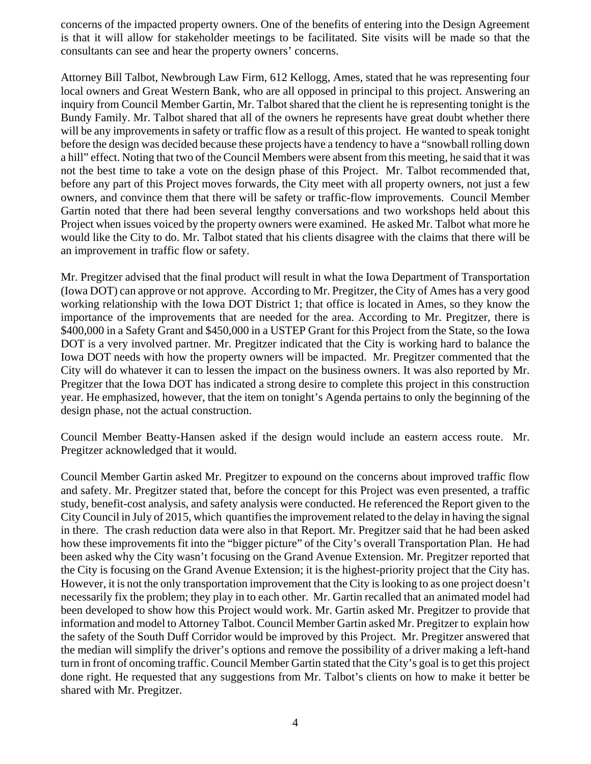concerns of the impacted property owners. One of the benefits of entering into the Design Agreement is that it will allow for stakeholder meetings to be facilitated. Site visits will be made so that the consultants can see and hear the property owners' concerns.

Attorney Bill Talbot, Newbrough Law Firm, 612 Kellogg, Ames, stated that he was representing four local owners and Great Western Bank, who are all opposed in principal to this project. Answering an inquiry from Council Member Gartin, Mr. Talbot shared that the client he is representing tonight is the Bundy Family. Mr. Talbot shared that all of the owners he represents have great doubt whether there will be any improvements in safety or traffic flow as a result of this project. He wanted to speak tonight before the design was decided because these projects have a tendency to have a "snowball rolling down a hill" effect. Noting that two of the Council Members were absent from this meeting, he said that it was not the best time to take a vote on the design phase of this Project. Mr. Talbot recommended that, before any part of this Project moves forwards, the City meet with all property owners, not just a few owners, and convince them that there will be safety or traffic-flow improvements. Council Member Gartin noted that there had been several lengthy conversations and two workshops held about this Project when issues voiced by the property owners were examined. He asked Mr. Talbot what more he would like the City to do. Mr. Talbot stated that his clients disagree with the claims that there will be an improvement in traffic flow or safety.

Mr. Pregitzer advised that the final product will result in what the Iowa Department of Transportation (Iowa DOT) can approve or not approve. According to Mr. Pregitzer, the City of Ames has a very good working relationship with the Iowa DOT District 1; that office is located in Ames, so they know the importance of the improvements that are needed for the area. According to Mr. Pregitzer, there is \$400,000 in a Safety Grant and \$450,000 in a USTEP Grant for this Project from the State, so the Iowa DOT is a very involved partner. Mr. Pregitzer indicated that the City is working hard to balance the Iowa DOT needs with how the property owners will be impacted. Mr. Pregitzer commented that the City will do whatever it can to lessen the impact on the business owners. It was also reported by Mr. Pregitzer that the Iowa DOT has indicated a strong desire to complete this project in this construction year. He emphasized, however, that the item on tonight's Agenda pertains to only the beginning of the design phase, not the actual construction.

Council Member Beatty-Hansen asked if the design would include an eastern access route. Mr. Pregitzer acknowledged that it would.

Council Member Gartin asked Mr. Pregitzer to expound on the concerns about improved traffic flow and safety. Mr. Pregitzer stated that, before the concept for this Project was even presented, a traffic study, benefit-cost analysis, and safety analysis were conducted. He referenced the Report given to the City Council in July of 2015, which quantifies the improvement related to the delay in having the signal in there. The crash reduction data were also in that Report. Mr. Pregitzer said that he had been asked how these improvements fit into the "bigger picture" of the City's overall Transportation Plan. He had been asked why the City wasn't focusing on the Grand Avenue Extension. Mr. Pregitzer reported that the City is focusing on the Grand Avenue Extension; it is the highest-priority project that the City has. However, it is not the only transportation improvement that the City is looking to as one project doesn't necessarily fix the problem; they play in to each other. Mr. Gartin recalled that an animated model had been developed to show how this Project would work. Mr. Gartin asked Mr. Pregitzer to provide that information and model to Attorney Talbot. Council Member Gartin asked Mr. Pregitzer to explain how the safety of the South Duff Corridor would be improved by this Project. Mr. Pregitzer answered that the median will simplify the driver's options and remove the possibility of a driver making a left-hand turn in front of oncoming traffic. Council Member Gartin stated that the City's goal is to get this project done right. He requested that any suggestions from Mr. Talbot's clients on how to make it better be shared with Mr. Pregitzer.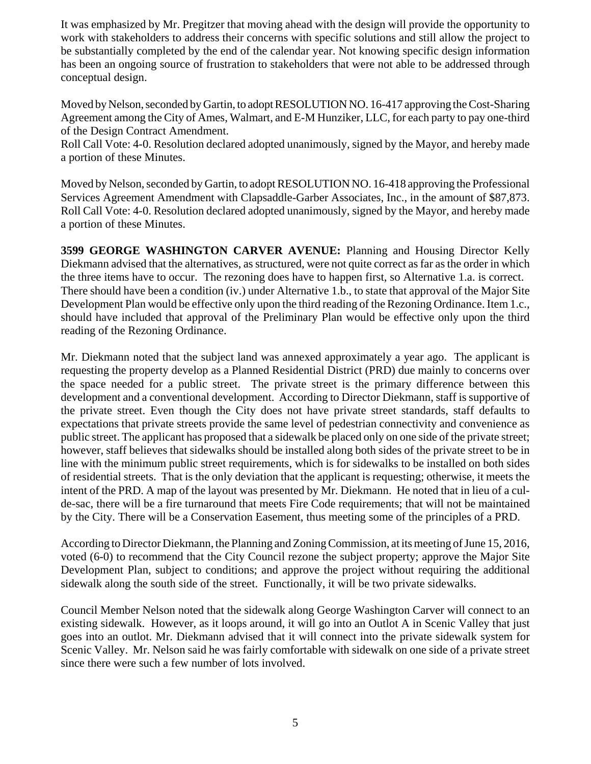It was emphasized by Mr. Pregitzer that moving ahead with the design will provide the opportunity to work with stakeholders to address their concerns with specific solutions and still allow the project to be substantially completed by the end of the calendar year. Not knowing specific design information has been an ongoing source of frustration to stakeholders that were not able to be addressed through conceptual design.

Moved by Nelson, seconded by Gartin, to adopt RESOLUTION NO. 16-417 approving the Cost-Sharing Agreement among the City of Ames, Walmart, and E-M Hunziker, LLC, for each party to pay one-third of the Design Contract Amendment.

Roll Call Vote: 4-0. Resolution declared adopted unanimously, signed by the Mayor, and hereby made a portion of these Minutes.

Moved by Nelson, seconded by Gartin, to adopt RESOLUTION NO. 16-418 approving the Professional Services Agreement Amendment with Clapsaddle-Garber Associates, Inc., in the amount of \$87,873. Roll Call Vote: 4-0. Resolution declared adopted unanimously, signed by the Mayor, and hereby made a portion of these Minutes.

**3599 GEORGE WASHINGTON CARVER AVENUE:** Planning and Housing Director Kelly Diekmann advised that the alternatives, as structured, were not quite correct as far as the order in which the three items have to occur. The rezoning does have to happen first, so Alternative 1.a. is correct. There should have been a condition (iv.) under Alternative 1.b., to state that approval of the Major Site Development Plan would be effective only upon the third reading of the Rezoning Ordinance. Item 1.c., should have included that approval of the Preliminary Plan would be effective only upon the third reading of the Rezoning Ordinance.

Mr. Diekmann noted that the subject land was annexed approximately a year ago. The applicant is requesting the property develop as a Planned Residential District (PRD) due mainly to concerns over the space needed for a public street. The private street is the primary difference between this development and a conventional development. According to Director Diekmann, staff is supportive of the private street. Even though the City does not have private street standards, staff defaults to expectations that private streets provide the same level of pedestrian connectivity and convenience as public street. The applicant has proposed that a sidewalk be placed only on one side of the private street; however, staff believes that sidewalks should be installed along both sides of the private street to be in line with the minimum public street requirements, which is for sidewalks to be installed on both sides of residential streets. That is the only deviation that the applicant is requesting; otherwise, it meets the intent of the PRD. A map of the layout was presented by Mr. Diekmann. He noted that in lieu of a culde-sac, there will be a fire turnaround that meets Fire Code requirements; that will not be maintained by the City. There will be a Conservation Easement, thus meeting some of the principles of a PRD.

According to Director Diekmann, the Planning and Zoning Commission, at its meeting of June 15, 2016, voted (6-0) to recommend that the City Council rezone the subject property; approve the Major Site Development Plan, subject to conditions; and approve the project without requiring the additional sidewalk along the south side of the street. Functionally, it will be two private sidewalks.

Council Member Nelson noted that the sidewalk along George Washington Carver will connect to an existing sidewalk. However, as it loops around, it will go into an Outlot A in Scenic Valley that just goes into an outlot. Mr. Diekmann advised that it will connect into the private sidewalk system for Scenic Valley. Mr. Nelson said he was fairly comfortable with sidewalk on one side of a private street since there were such a few number of lots involved.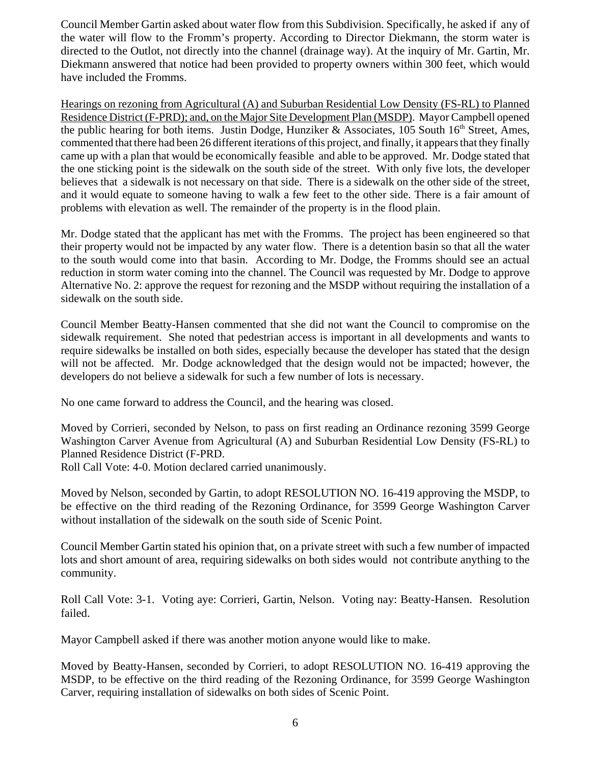Council Member Gartin asked about water flow from this Subdivision. Specifically, he asked if any of the water will flow to the Fromm's property. According to Director Diekmann, the storm water is directed to the Outlot, not directly into the channel (drainage way). At the inquiry of Mr. Gartin, Mr. Diekmann answered that notice had been provided to property owners within 300 feet, which would have included the Fromms.

Hearings on rezoning from Agricultural (A) and Suburban Residential Low Density (FS-RL) to Planned Residence District (F-PRD); and, on the Major Site Development Plan (MSDP). Mayor Campbell opened the public hearing for both items. Justin Dodge, Hunziker & Associates, 105 South  $16<sup>th</sup>$  Street, Ames, commented that there had been 26 different iterations of this project, and finally, it appears that they finally came up with a plan that would be economically feasible and able to be approved. Mr. Dodge stated that the one sticking point is the sidewalk on the south side of the street. With only five lots, the developer believes that a sidewalk is not necessary on that side. There is a sidewalk on the other side of the street, and it would equate to someone having to walk a few feet to the other side. There is a fair amount of problems with elevation as well. The remainder of the property is in the flood plain.

Mr. Dodge stated that the applicant has met with the Fromms. The project has been engineered so that their property would not be impacted by any water flow. There is a detention basin so that all the water to the south would come into that basin. According to Mr. Dodge, the Fromms should see an actual reduction in storm water coming into the channel. The Council was requested by Mr. Dodge to approve Alternative No. 2: approve the request for rezoning and the MSDP without requiring the installation of a sidewalk on the south side.

Council Member Beatty-Hansen commented that she did not want the Council to compromise on the sidewalk requirement. She noted that pedestrian access is important in all developments and wants to require sidewalks be installed on both sides, especially because the developer has stated that the design will not be affected. Mr. Dodge acknowledged that the design would not be impacted; however, the developers do not believe a sidewalk for such a few number of lots is necessary.

No one came forward to address the Council, and the hearing was closed.

Moved by Corrieri, seconded by Nelson, to pass on first reading an Ordinance rezoning 3599 George Washington Carver Avenue from Agricultural (A) and Suburban Residential Low Density (FS-RL) to Planned Residence District (F-PRD.

Roll Call Vote: 4-0. Motion declared carried unanimously.

Moved by Nelson, seconded by Gartin, to adopt RESOLUTION NO. 16-419 approving the MSDP, to be effective on the third reading of the Rezoning Ordinance, for 3599 George Washington Carver without installation of the sidewalk on the south side of Scenic Point.

Council Member Gartin stated his opinion that, on a private street with such a few number of impacted lots and short amount of area, requiring sidewalks on both sides would not contribute anything to the community.

Roll Call Vote: 3-1. Voting aye: Corrieri, Gartin, Nelson. Voting nay: Beatty-Hansen. Resolution failed.

Mayor Campbell asked if there was another motion anyone would like to make.

Moved by Beatty-Hansen, seconded by Corrieri, to adopt RESOLUTION NO. 16-419 approving the MSDP, to be effective on the third reading of the Rezoning Ordinance, for 3599 George Washington Carver, requiring installation of sidewalks on both sides of Scenic Point.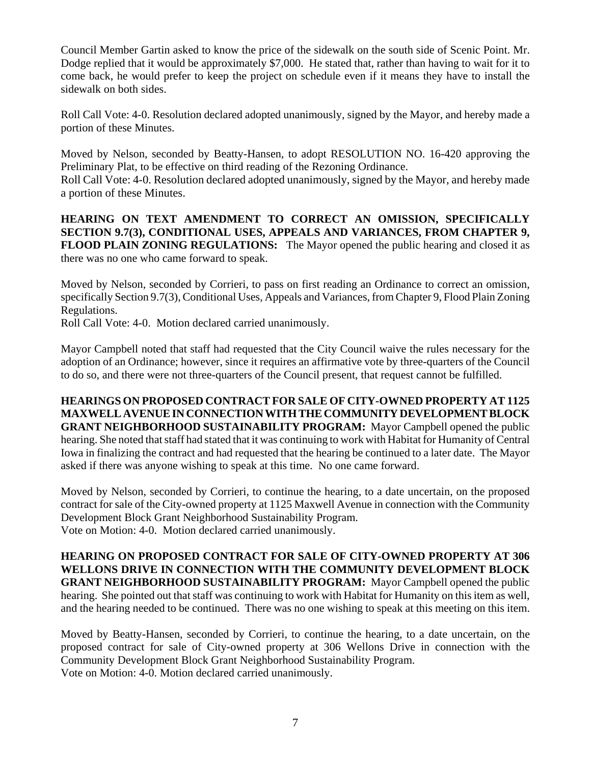Council Member Gartin asked to know the price of the sidewalk on the south side of Scenic Point. Mr. Dodge replied that it would be approximately \$7,000. He stated that, rather than having to wait for it to come back, he would prefer to keep the project on schedule even if it means they have to install the sidewalk on both sides.

Roll Call Vote: 4-0. Resolution declared adopted unanimously, signed by the Mayor, and hereby made a portion of these Minutes.

Moved by Nelson, seconded by Beatty-Hansen, to adopt RESOLUTION NO. 16-420 approving the Preliminary Plat, to be effective on third reading of the Rezoning Ordinance.

Roll Call Vote: 4-0. Resolution declared adopted unanimously, signed by the Mayor, and hereby made a portion of these Minutes.

**HEARING ON TEXT AMENDMENT TO CORRECT AN OMISSION, SPECIFICALLY SECTION 9.7(3), CONDITIONAL USES, APPEALS AND VARIANCES, FROM CHAPTER 9, FLOOD PLAIN ZONING REGULATIONS:** The Mayor opened the public hearing and closed it as there was no one who came forward to speak.

Moved by Nelson, seconded by Corrieri, to pass on first reading an Ordinance to correct an omission, specifically Section 9.7(3), Conditional Uses, Appeals and Variances, from Chapter 9, Flood Plain Zoning Regulations.

Roll Call Vote: 4-0. Motion declared carried unanimously.

Mayor Campbell noted that staff had requested that the City Council waive the rules necessary for the adoption of an Ordinance; however, since it requires an affirmative vote by three-quarters of the Council to do so, and there were not three-quarters of the Council present, that request cannot be fulfilled.

**HEARINGS ON PROPOSED CONTRACT FOR SALE OF CITY-OWNED PROPERTY AT 1125 MAXWELL AVENUE IN CONNECTION WITH THE COMMUNITY DEVELOPMENT BLOCK GRANT NEIGHBORHOOD SUSTAINABILITY PROGRAM:** Mayor Campbell opened the public hearing. She noted that staff had stated that it was continuing to work with Habitat for Humanity of Central Iowa in finalizing the contract and had requested that the hearing be continued to a later date. The Mayor asked if there was anyone wishing to speak at this time. No one came forward.

Moved by Nelson, seconded by Corrieri, to continue the hearing, to a date uncertain, on the proposed contract for sale of the City-owned property at 1125 Maxwell Avenue in connection with the Community Development Block Grant Neighborhood Sustainability Program. Vote on Motion: 4-0. Motion declared carried unanimously.

**HEARING ON PROPOSED CONTRACT FOR SALE OF CITY-OWNED PROPERTY AT 306 WELLONS DRIVE IN CONNECTION WITH THE COMMUNITY DEVELOPMENT BLOCK GRANT NEIGHBORHOOD SUSTAINABILITY PROGRAM:** Mayor Campbell opened the public hearing. She pointed out that staff was continuing to work with Habitat for Humanity on this item as well, and the hearing needed to be continued. There was no one wishing to speak at this meeting on this item.

Moved by Beatty-Hansen, seconded by Corrieri, to continue the hearing, to a date uncertain, on the proposed contract for sale of City-owned property at 306 Wellons Drive in connection with the Community Development Block Grant Neighborhood Sustainability Program. Vote on Motion: 4-0. Motion declared carried unanimously.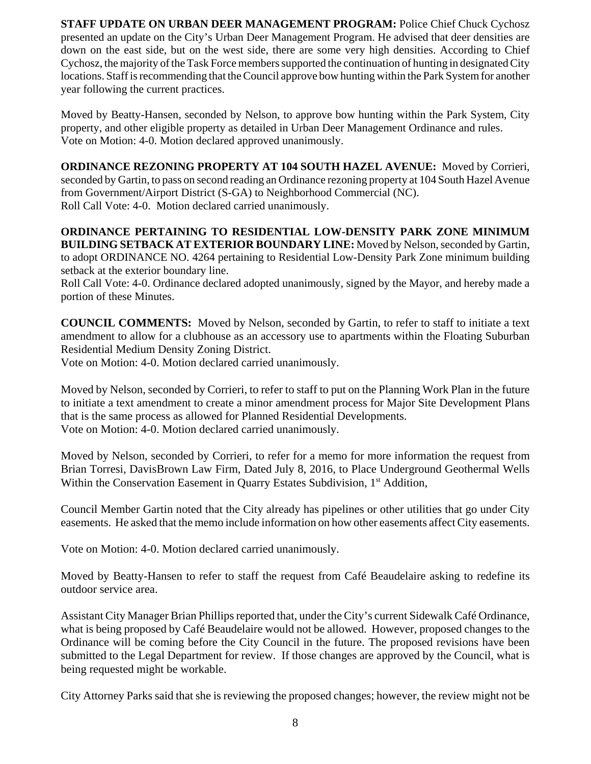**STAFF UPDATE ON URBAN DEER MANAGEMENT PROGRAM:** Police Chief Chuck Cychosz presented an update on the City's Urban Deer Management Program. He advised that deer densities are down on the east side, but on the west side, there are some very high densities. According to Chief Cychosz, the majority of the Task Force members supported the continuation of hunting in designated City locations. Staff is recommending that the Council approve bow hunting within the Park System for another year following the current practices.

Moved by Beatty-Hansen, seconded by Nelson, to approve bow hunting within the Park System, City property, and other eligible property as detailed in Urban Deer Management Ordinance and rules. Vote on Motion: 4-0. Motion declared approved unanimously.

**ORDINANCE REZONING PROPERTY AT 104 SOUTH HAZEL AVENUE:** Moved by Corrieri, seconded by Gartin, to pass on second reading an Ordinance rezoning property at 104 South Hazel Avenue from Government/Airport District (S-GA) to Neighborhood Commercial (NC). Roll Call Vote: 4-0. Motion declared carried unanimously.

**ORDINANCE PERTAINING TO RESIDENTIAL LOW-DENSITY PARK ZONE MINIMUM BUILDING SETBACK AT EXTERIOR BOUNDARY LINE:** Moved by Nelson, seconded by Gartin, to adopt ORDINANCE NO. 4264 pertaining to Residential Low-Density Park Zone minimum building setback at the exterior boundary line.

Roll Call Vote: 4-0. Ordinance declared adopted unanimously, signed by the Mayor, and hereby made a portion of these Minutes.

**COUNCIL COMMENTS:** Moved by Nelson, seconded by Gartin, to refer to staff to initiate a text amendment to allow for a clubhouse as an accessory use to apartments within the Floating Suburban Residential Medium Density Zoning District.

Vote on Motion: 4-0. Motion declared carried unanimously.

Moved by Nelson, seconded by Corrieri, to refer to staff to put on the Planning Work Plan in the future to initiate a text amendment to create a minor amendment process for Major Site Development Plans that is the same process as allowed for Planned Residential Developments. Vote on Motion: 4-0. Motion declared carried unanimously.

Moved by Nelson, seconded by Corrieri, to refer for a memo for more information the request from Brian Torresi, DavisBrown Law Firm, Dated July 8, 2016, to Place Underground Geothermal Wells Within the Conservation Easement in Quarry Estates Subdivision, 1<sup>st</sup> Addition,

Council Member Gartin noted that the City already has pipelines or other utilities that go under City easements. He asked that the memo include information on how other easements affect City easements.

Vote on Motion: 4-0. Motion declared carried unanimously.

Moved by Beatty-Hansen to refer to staff the request from Café Beaudelaire asking to redefine its outdoor service area.

Assistant City Manager Brian Phillips reported that, under the City's current Sidewalk Café Ordinance, what is being proposed by Café Beaudelaire would not be allowed. However, proposed changes to the Ordinance will be coming before the City Council in the future. The proposed revisions have been submitted to the Legal Department for review. If those changes are approved by the Council, what is being requested might be workable.

City Attorney Parks said that she is reviewing the proposed changes; however, the review might not be